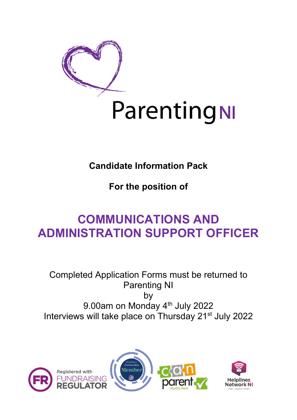

# **Candidate Information Pack**

**For the position of**

# **COMMUNICATIONS AND ADMINISTRATION SUPPORT OFFICER**

Completed Application Forms must be returned to Parenting NI by 9.00am on Monday 4<sup>th</sup> July 2022 Interviews will take place on Thursday 21<sup>st</sup> July 2022





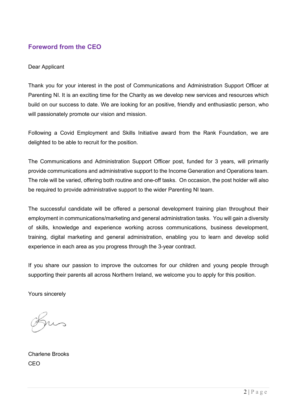## **Foreword from the CEO**

#### Dear Applicant

Thank you for your interest in the post of Communications and Administration Support Officer at Parenting NI. It is an exciting time for the Charity as we develop new services and resources which build on our success to date. We are looking for an positive, friendly and enthusiastic person, who will passionately promote our vision and mission.

Following a Covid Employment and Skills Initiative award from the Rank Foundation, we are delighted to be able to recruit for the position.

The Communications and Administration Support Officer post, funded for 3 years, will primarily provide communications and administrative support to the Income Generation and Operations team. The role will be varied, offering both routine and one-off tasks. On occasion, the post holder will also be required to provide administrative support to the wider Parenting NI team.

The successful candidate will be offered a personal development training plan throughout their employment in communications/marketing and general administration tasks. You will gain a diversity of skills, knowledge and experience working across communications, business development, training, digital marketing and general administration, enabling you to learn and develop solid experience in each area as you progress through the 3-year contract.

If you share our passion to improve the outcomes for our children and young people through supporting their parents all across Northern Ireland, we welcome you to apply for this position.

Yours sincerely

Charlene Brooks **CEO**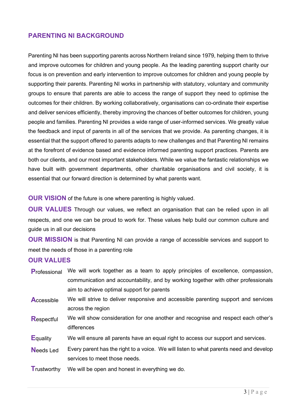### **PARENTING NI BACKGROUND**

Parenting NI has been supporting parents across Northern Ireland since 1979, helping them to thrive and improve outcomes for children and young people. As the leading parenting support charity our focus is on prevention and early intervention to improve outcomes for children and young people by supporting their parents. Parenting NI works in partnership with statutory, voluntary and community groups to ensure that parents are able to access the range of support they need to optimise the outcomes for their children. By working collaboratively, organisations can co-ordinate their expertise and deliver services efficiently, thereby improving the chances of better outcomes for children, young people and families. Parenting NI provides a wide range of user-informed services. We greatly value the feedback and input of parents in all of the services that we provide. As parenting changes, it is essential that the support offered to parents adapts to new challenges and that Parenting NI remains at the forefront of evidence based and evidence informed parenting support practices. Parents are both our clients, and our most important stakeholders. While we value the fantastic relationships we have built with government departments, other charitable organisations and civil society, it is essential that our forward direction is determined by what parents want.

**OUR VISION** of the future is one where parenting is highly valued.

**OUR VALUES** Through our values, we reflect an organisation that can be relied upon in all respects, and one we can be proud to work for. These values help build our common culture and guide us in all our decisions

**OUR MISSION** is that Parenting NI can provide a range of accessible services and support to meet the needs of those in a parenting role

#### **OUR VALUES**

**P**rofessional We will work together as a team to apply principles of excellence, compassion, communication and accountability, and by working together with other professionals aim to achieve optimal support for parents **Accessible** We will strive to deliver responsive and accessible parenting support and services across the region **Respectful** We will show consideration for one another and recognise and respect each other's differences **E**quality We will ensure all parents have an equal right to access our support and services. **Needs Led Every parent has the right to a voice. We will listen to what parents need and develop** services to meet those needs. **T**rustworthy We will be open and honest in everything we do.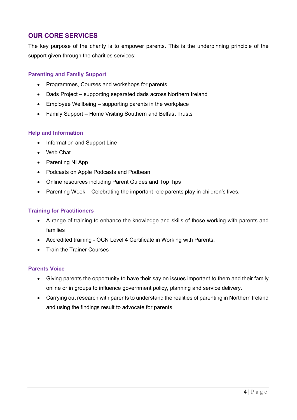## **OUR CORE SERVICES**

The key purpose of the charity is to empower parents. This is the underpinning principle of the support given through the charities services:

#### **Parenting and Family Support**

- Programmes, Courses and workshops for parents
- Dads Project supporting separated dads across Northern Ireland
- Employee Wellbeing supporting parents in the workplace
- Family Support Home Visiting Southern and Belfast Trusts

#### **Help and Information**

- Information and Support Line
- Web Chat
- Parenting NI App
- Podcasts on Apple Podcasts and Podbean
- Online resources including Parent Guides and Top Tips
- Parenting Week Celebrating the important role parents play in children's lives.

#### **Training for Practitioners**

- A range of training to enhance the knowledge and skills of those working with parents and families
- Accredited training OCN Level 4 Certificate in Working with Parents.
- Train the Trainer Courses

#### **Parents Voice**

- Giving parents the opportunity to have their say on issues important to them and their family online or in groups to influence government policy, planning and service delivery.
- Carrying out research with parents to understand the realities of parenting in Northern Ireland and using the findings result to advocate for parents.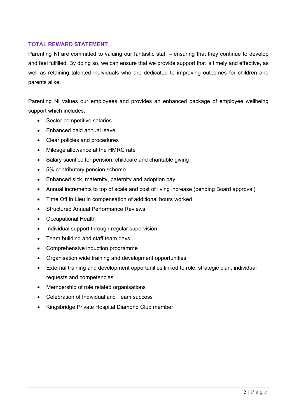#### **TOTAL REWARD STATEMENT**

Parenting NI are committed to valuing our fantastic staff – ensuring that they continue to develop and feel fulfilled. By doing so, we can ensure that we provide support that is timely and effective, as well as retaining talented individuals who are dedicated to improving outcomes for children and parents alike.

Parenting NI values our employees and provides an enhanced package of employee wellbeing support which includes:

- Sector competitive salaries
- Enhanced paid annual leave
- Clear policies and procedures
- Mileage allowance at the HMRC rate
- Salary sacrifice for pension, childcare and charitable giving
- 5% contributory pension scheme
- Enhanced sick, maternity, paternity and adoption pay
- Annual increments to top of scale and cost of living increase (pending Board approval)
- Time Off in Lieu in compensation of additional hours worked
- Structured Annual Performance Reviews
- Occupational Health
- Individual support through regular supervision
- Team building and staff team days
- Comprehensive induction programme
- Organisation wide training and development opportunities
- External training and development opportunities linked to role, strategic plan, individual requests and competencies
- Membership of role related organisations
- Celebration of Individual and Team success
- Kingsbridge Private Hospital Diamond Club member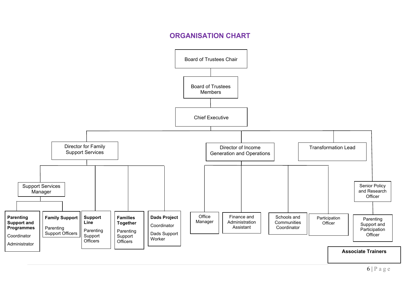# **ORGANISATION CHART**

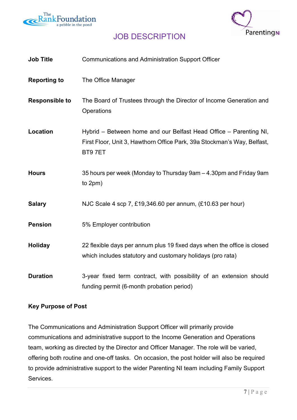



# JOB DESCRIPTION

| <b>Job Title</b>      | <b>Communications and Administration Support Officer</b>                                                                                               |
|-----------------------|--------------------------------------------------------------------------------------------------------------------------------------------------------|
| <b>Reporting to</b>   | The Office Manager                                                                                                                                     |
| <b>Responsible to</b> | The Board of Trustees through the Director of Income Generation and<br>Operations                                                                      |
| <b>Location</b>       | Hybrid – Between home and our Belfast Head Office – Parenting NI,<br>First Floor, Unit 3, Hawthorn Office Park, 39a Stockman's Way, Belfast,<br>BT97ET |
| <b>Hours</b>          | 35 hours per week (Monday to Thursday 9am - 4.30pm and Friday 9am<br>to 2pm)                                                                           |
| <b>Salary</b>         | NJC Scale 4 scp 7, £19,346.60 per annum, (£10.63 per hour)                                                                                             |
| <b>Pension</b>        | 5% Employer contribution                                                                                                                               |
| <b>Holiday</b>        | 22 flexible days per annum plus 19 fixed days when the office is closed<br>which includes statutory and customary holidays (pro rata)                  |
| <b>Duration</b>       | 3-year fixed term contract, with possibility of an extension should<br>funding permit (6-month probation period)                                       |

#### **Key Purpose of Post**

The Communications and Administration Support Officer will primarily provide communications and administrative support to the Income Generation and Operations team, working as directed by the Director and Officer Manager. The role will be varied, offering both routine and one-off tasks. On occasion, the post holder will also be required to provide administrative support to the wider Parenting NI team including Family Support Services.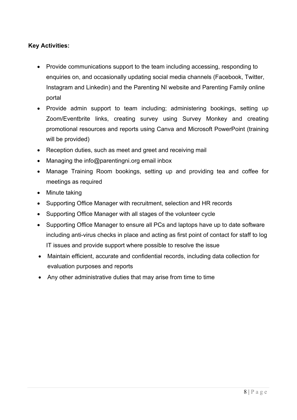## **Key Activities:**

- Provide communications support to the team including accessing, responding to enquiries on, and occasionally updating social media channels (Facebook, Twitter, Instagram and Linkedin) and the Parenting NI website and Parenting Family online portal
- Provide admin support to team including; administering bookings, setting up Zoom/Eventbrite links, creating survey using Survey Monkey and creating promotional resources and reports using Canva and Microsoft PowerPoint (training will be provided)
- Reception duties, such as meet and greet and receiving mail
- Managing the info@parentingni.org email inbox
- Manage Training Room bookings, setting up and providing tea and coffee for meetings as required
- Minute taking
- Supporting Office Manager with recruitment, selection and HR records
- Supporting Office Manager with all stages of the volunteer cycle
- Supporting Office Manager to ensure all PCs and laptops have up to date software including anti-virus checks in place and acting as first point of contact for staff to log IT issues and provide support where possible to resolve the issue
- Maintain efficient, accurate and confidential records, including data collection for evaluation purposes and reports
- Any other administrative duties that may arise from time to time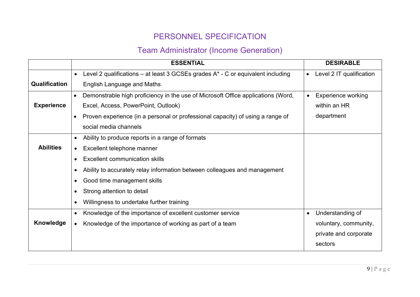# PERSONNEL SPECIFICATION

# Team Administrator (Income Generation)

|                      |           | <b>ESSENTIAL</b>                                                                   |           | <b>DESIRABLE</b>          |
|----------------------|-----------|------------------------------------------------------------------------------------|-----------|---------------------------|
|                      | $\bullet$ | Level 2 qualifications – at least 3 GCSEs grades $A^*$ - C or equivalent including | $\bullet$ | Level 2 IT qualification  |
| <b>Qualification</b> |           | English Language and Maths                                                         |           |                           |
|                      | $\bullet$ | Demonstrable high proficiency in the use of Microsoft Office applications (Word,   | $\bullet$ | <b>Experience working</b> |
| <b>Experience</b>    |           | Excel, Access, PowerPoint, Outlook)                                                |           | within an HR              |
|                      | $\bullet$ | Proven experience (in a personal or professional capacity) of using a range of     |           | department                |
|                      |           | social media channels                                                              |           |                           |
|                      | $\bullet$ | Ability to produce reports in a range of formats                                   |           |                           |
| <b>Abilities</b>     |           | Excellent telephone manner                                                         |           |                           |
|                      |           | <b>Excellent communication skills</b>                                              |           |                           |
|                      |           | Ability to accurately relay information between colleagues and management          |           |                           |
|                      |           | Good time management skills                                                        |           |                           |
|                      |           | Strong attention to detail                                                         |           |                           |
|                      |           | Willingness to undertake further training                                          |           |                           |
|                      | $\bullet$ | Knowledge of the importance of excellent customer service                          | $\bullet$ | Understanding of          |
| Knowledge            | $\bullet$ | Knowledge of the importance of working as part of a team                           |           | voluntary, community,     |
|                      |           |                                                                                    |           | private and corporate     |
|                      |           |                                                                                    |           | sectors                   |